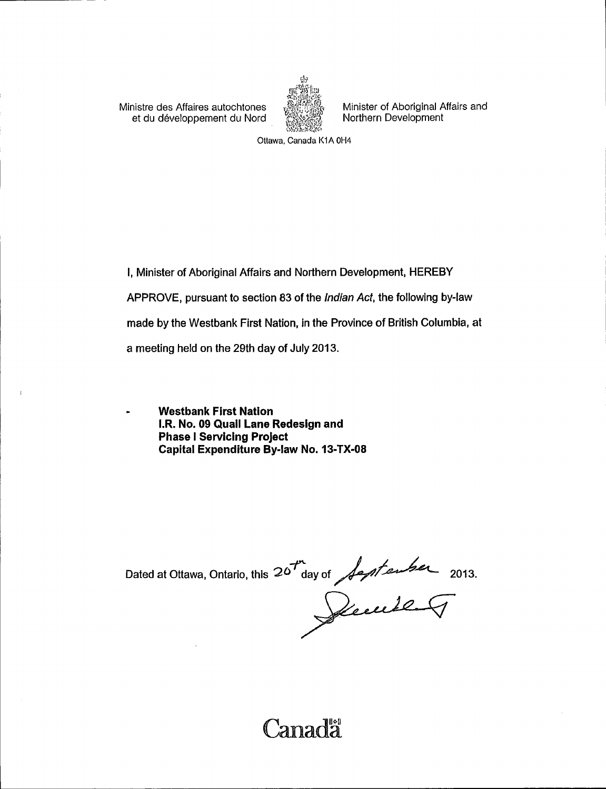Ministre des Affaires autochtones (Affaires Minister of Aboriginal Affairs and et du développement du Nord (Affaires Aborthern Development et du développement du Nord



Ottawa, Canada K1A OH4

I, Minister of Aboriginal Affairs and Northern Development, HEREBY APPROVE, pursuant to section 83 of the Indian Act, the following by -law made by the Westbank First Nation, in the Province of British Columbia, at a meeting held on the 29th day of July 2013.

Westbank First Nation I.R. No. 09 Quail Lane Redesign and Phase <sup>I</sup> Servicing Project Capital Expenditure By-law No. 13-TX-08

Dated at Ottawa, Ontario, this 20<sup>th</sup> day of *Japtenbe*r 2013.

**Canada**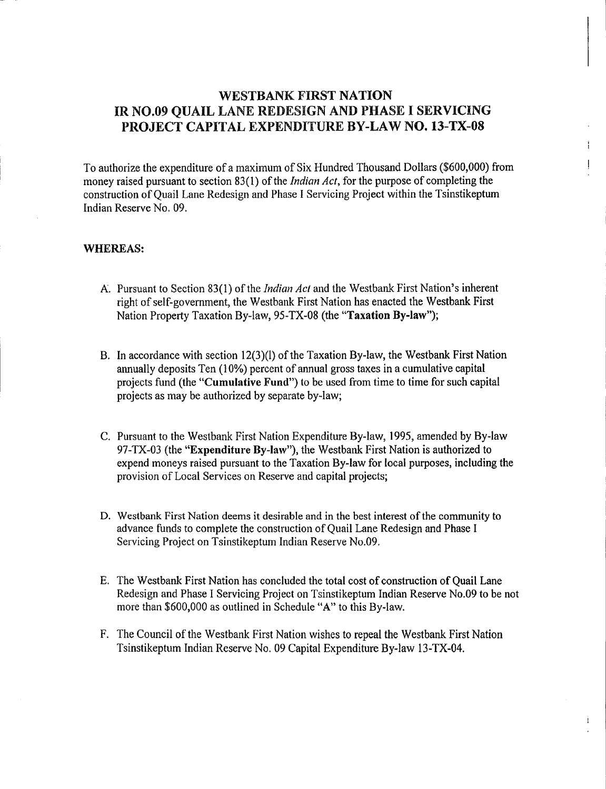## WESTBANK FIRST NATION IR NO.09 QUAIL LANE REDESIGN AND PHASE I SERVICING PROJECT CAPITAL EXPENDITURE BY-LAW NO. 13-TX-08

To authorize the expenditure of <sup>a</sup> maximum of Six Hundred Thousand Dollars (\$600,000) from money raised pursuant to section 83(1) of the *Indian Act*, for the purpose of completing the construction of Quail Lane Redesign and Phase I Servicing Project within the Tsinstikeptum Indian Reserve No. 09.

## WHEREAS:

- A. Pursuant to Section 83(1) of the *Indian Act* and the Westbank First Nation's inherent right of self - government, the Westbank First Nation has enacted the Westbank First Nation Property Taxation By-law, 95-TX-08 (the "Taxation By-law");
- B. In accordance with section  $12(3)(1)$  of the Taxation By-law, the Westbank First Nation annually deposits Ten (10%) percent of annual gross taxes in a cumulative capital projects fund (the "Cumulative Fund") to be used from time to time for such capital projects as may be authorized by separate by -law;
- C. Pursuant to the Westbank First Nation Expenditure By -law, 1995, amended by By -law 97-TX-03 (the "Expenditure By-law"), the Westbank First Nation is authorized to expend moneys raised pursuant to the Taxation By -law for local purposes, including the provision of Local Services on Reserve and capital projects;
- D. Westbank First Nation deems it desirable and in the best interest of the community to advance funds to complete the construction of Quail Lane Redesign and Phase I Servicing Project on Tsinstikeptum Indian Reserve No.09.
- E. The Westbank First Nation has concluded the total cost of construction of Quail Lane Redesign and Phase I Servicing Project on Tsinstikeptum Indian Reserve No.09 to be not more than \$600,000 as outlined in Schedule "A" to this By-law.
- F. The Council of the Westbank First Nation wishes to repeal the Westbank First Nation Tsinstikeptum Indian Reserve No. 09 Capital Expenditure By-law 13-TX-04.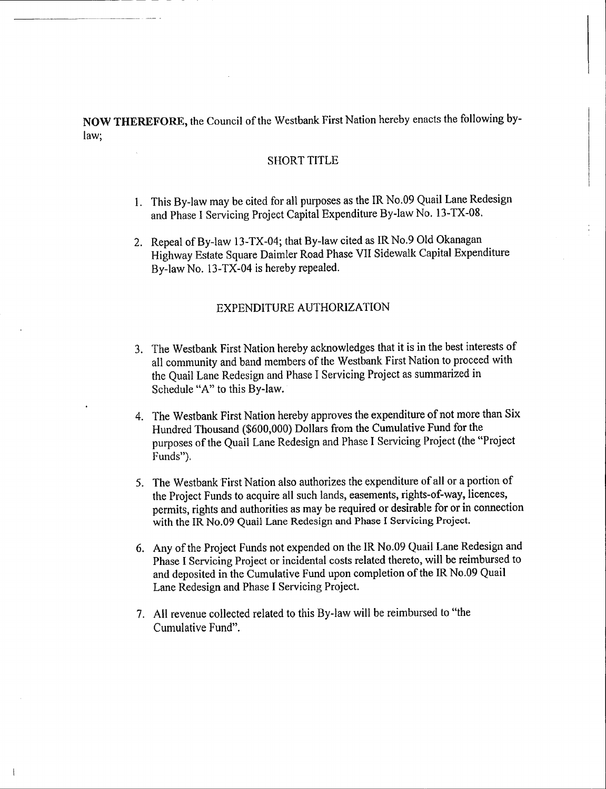NOW THEREFORE, the Council of the Westbank First Nation hereby enacts the following bylaw;

#### SHORT TITLE

- 1. This By -law may be cited for all purposes as the IR No.09 Quail Lane Redesign and Phase I Servicing Project Capital Expenditure By-law No. 13-TX-08.
- 2. Repeal of By-law 13-TX-04; that By-law cited as IR No.9 Old Okanagan Highway Estate Square Daimler Road Phase VII Sidewalk Capital Expenditure By-law No. 13-TX-04 is hereby repealed.

## EXPENDITURE AUTHORIZATION

- 3. The Westbank First Nation hereby acknowledges that it is in the best interests of all community and band members of the Westbank First Nation to proceed with the Quail Lane Redesign and Phase I Servicing Project as summarized in Schedule "A" to this By-law.
- 4. The Westbank First Nation hereby approves the expenditure of not more than Six Hundred Thousand (\$600,000) Dollars from the Cumulative Fund for the purposes of the Quail Lane Redesign and Phase I Servicing Project (the " Project Funds").
- 5. The Westbank First Nation also authorizes the expenditure of all or <sup>a</sup> portion of the Project Funds to acquire all such lands, easements, rights-of-way, licences, permits, rights and authorities as may be required or desirable for or in connection with the IR No.09 Quail Lane Redesign and Phase I Servicing Project.
- 6. Any of the Project Funds not expended on the IR No.09 Quail Lane Redesign and Phase <sup>1</sup> Servicing Project or incidental costs related thereto, will be reimbursed to and deposited in the Cumulative Fund upon completion of the IR No.09 Quail Lane Redesign and Phase I Servicing Project.
- 7. All revenue collected related to this By -law will be reimbursed to " the Cumulative Fund".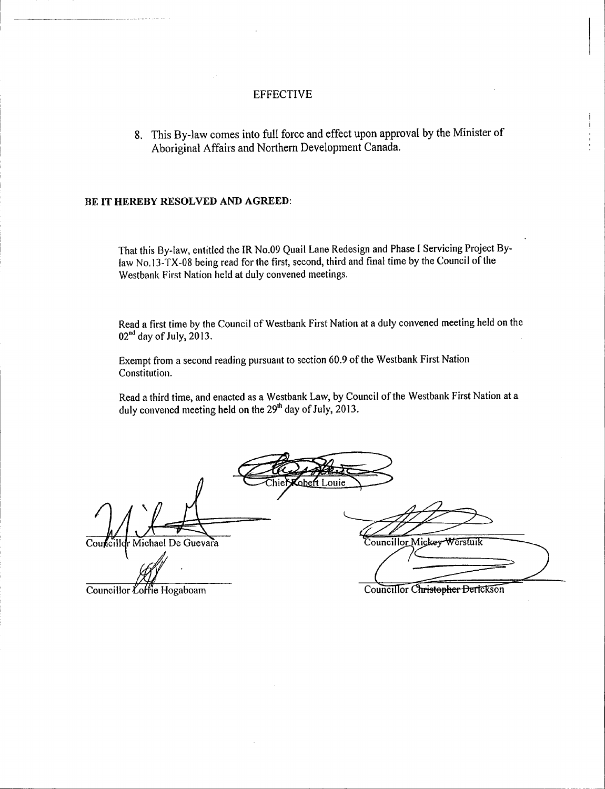## EFFECTIVE

8. This By -law comes into full force and effect upon approval by the Minister of Aboriginal Affairs and Northern Development Canada.

#### BE IT HEREBY RESOLVED AND AGREED:

That this By -law, entitled the IR No.09 Quail Lane Redesign and Phase I Servicing Project Bylaw No. 13 -TX -08 being read for the first, second, third and final time by the Council of the Westbank First Nation held at duly convened meetings.

Read <sup>a</sup> first time by the Council of Westbank First Nation at <sup>a</sup> duly convened meeting held on the 02<sup>nd</sup> day of July, 2013.

Exempt from <sup>a</sup> second reading pursuant to section 60.9 of the Westbank First Nation Constitution.

Read <sup>a</sup> third time, and enacted as <sup>a</sup> Westbank Law, by Council of the Westbank First Nation at a duly convened meeting held on the 29' h day of July, 2013.

.ouie Councillor Michael De Guevara Councillor Mickey Werstuik

Councillor Loffie Hogaboam Councillor Christopher Derickson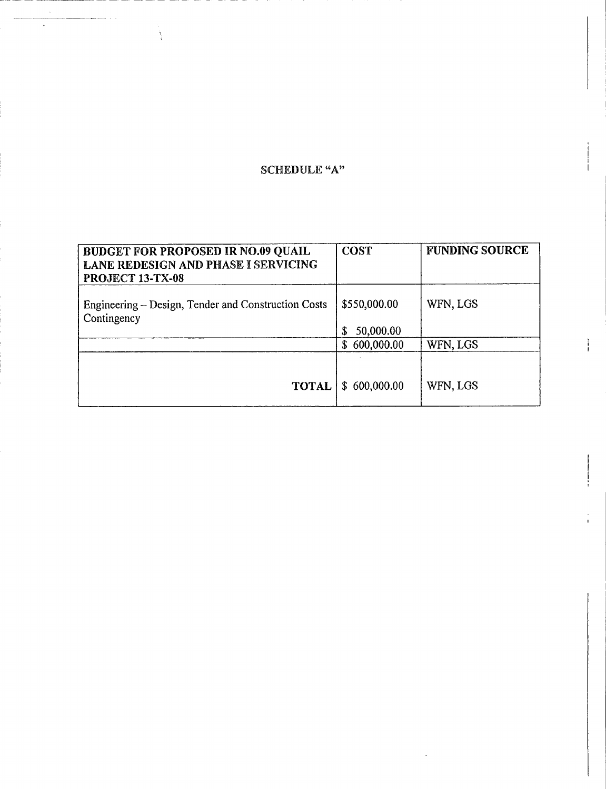# SCHEDULE "A"

 $\ddot{\phantom{a}}$ 

 $\left\langle \right\rangle$ 

| <b>BUDGET FOR PROPOSED IR NO.09 QUAIL</b><br><b>LANE REDESIGN AND PHASE I SERVICING</b><br>PROJECT 13-TX-08 | <b>COST</b>               | <b>FUNDING SOURCE</b> |
|-------------------------------------------------------------------------------------------------------------|---------------------------|-----------------------|
| Engineering – Design, Tender and Construction Costs<br>Contingency                                          | \$550,000.00<br>50,000.00 | WFN, LGS              |
|                                                                                                             | 600,000.00<br>S.          | WFN, LGS              |
| <b>TOTAL</b>                                                                                                | \$600,000.00              | WFN, LGS              |